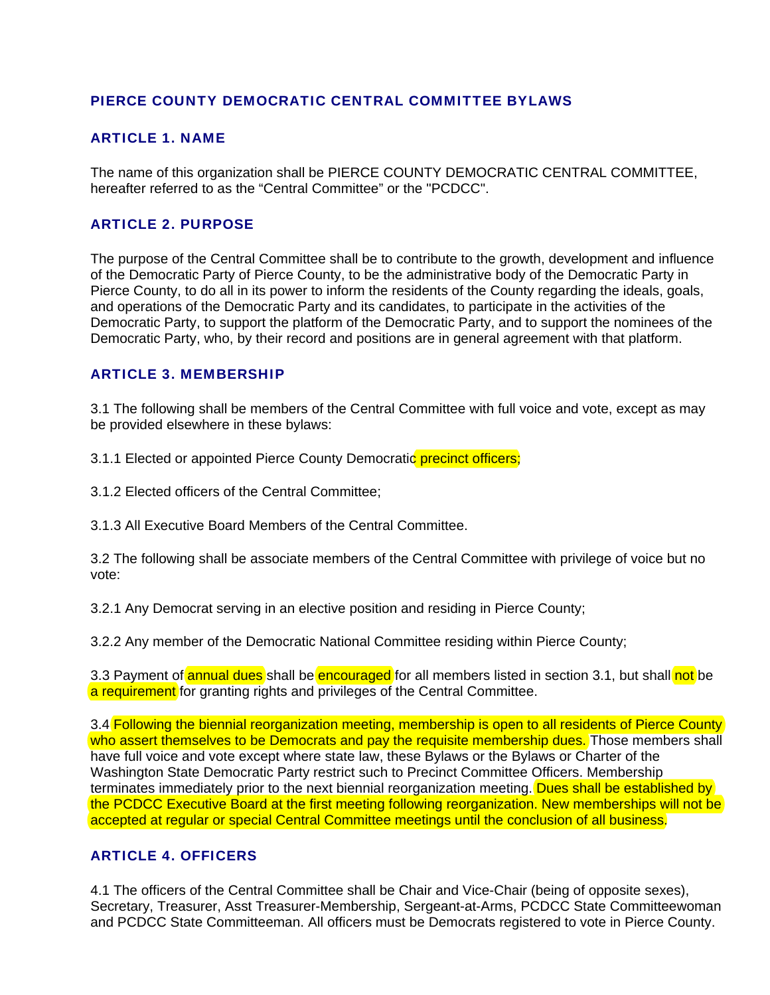## PIERCE COUNTY DEMOCRATIC CENTRAL COMMITTEE BYLAWS

## ARTICLE 1. NAME

The name of this organization shall be PIERCE COUNTY DEMOCRATIC CENTRAL COMMITTEE, hereafter referred to as the "Central Committee" or the "PCDCC".

## ARTICLE 2. PURPOSE

The purpose of the Central Committee shall be to contribute to the growth, development and influence of the Democratic Party of Pierce County, to be the administrative body of the Democratic Party in Pierce County, to do all in its power to inform the residents of the County regarding the ideals, goals, and operations of the Democratic Party and its candidates, to participate in the activities of the Democratic Party, to support the platform of the Democratic Party, and to support the nominees of the Democratic Party, who, by their record and positions are in general agreement with that platform.

### ARTICLE 3. MEMBERSHIP

3.1 The following shall be members of the Central Committee with full voice and vote, except as may be provided elsewhere in these bylaws:

3.1.1 Elected or appointed Pierce County Democratic precinct officers;

3.1.2 Elected officers of the Central Committee;

3.1.3 All Executive Board Members of the Central Committee.

3.2 The following shall be associate members of the Central Committee with privilege of voice but no vote:

3.2.1 Any Democrat serving in an elective position and residing in Pierce County;

3.2.2 Any member of the Democratic National Committee residing within Pierce County;

3.3 Payment of **annual dues** shall be **encouraged** for all members listed in section 3.1, but shall not be a requirement for granting rights and privileges of the Central Committee.

3.4 Following the biennial reorganization meeting, membership is open to all residents of Pierce County who assert themselves to be Democrats and pay the requisite membership dues. Those members shall have full voice and vote except where state law, these Bylaws or the Bylaws or Charter of the Washington State Democratic Party restrict such to Precinct Committee Officers. Membership terminates immediately prior to the next biennial reorganization meeting. Dues shall be established by the PCDCC Executive Board at the first meeting following reorganization. New memberships will not be accepted at regular or special Central Committee meetings until the conclusion of all business.

## ARTICLE 4. OFFICERS

4.1 The officers of the Central Committee shall be Chair and Vice-Chair (being of opposite sexes), Secretary, Treasurer, Asst Treasurer-Membership, Sergeant-at-Arms, PCDCC State Committeewoman and PCDCC State Committeeman. All officers must be Democrats registered to vote in Pierce County.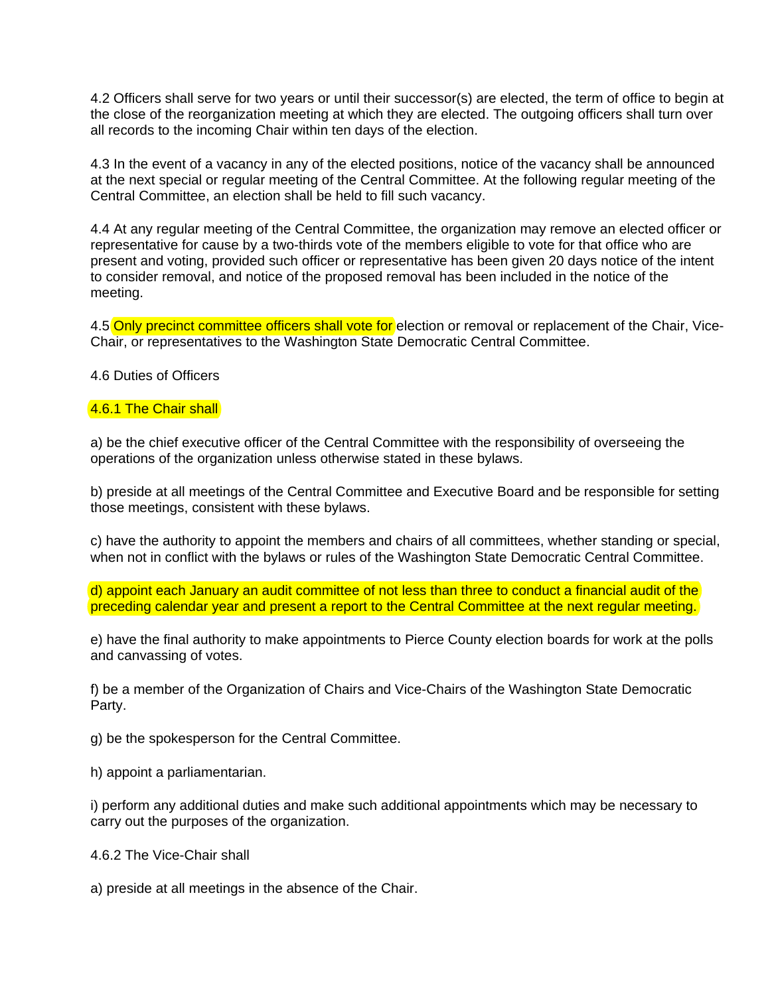4.2 Officers shall serve for two years or until their successor(s) are elected, the term of office to begin at the close of the reorganization meeting at which they are elected. The outgoing officers shall turn over all records to the incoming Chair within ten days of the election.

4.3 In the event of a vacancy in any of the elected positions, notice of the vacancy shall be announced at the next special or regular meeting of the Central Committee. At the following regular meeting of the Central Committee, an election shall be held to fill such vacancy.

4.4 At any regular meeting of the Central Committee, the organization may remove an elected officer or representative for cause by a two-thirds vote of the members eligible to vote for that office who are present and voting, provided such officer or representative has been given 20 days notice of the intent to consider removal, and notice of the proposed removal has been included in the notice of the meeting.

4.5 Only precinct committee officers shall vote for election or removal or replacement of the Chair, Vice-Chair, or representatives to the Washington State Democratic Central Committee.

4.6 Duties of Officers

#### 4.6.1 The Chair shall

a) be the chief executive officer of the Central Committee with the responsibility of overseeing the operations of the organization unless otherwise stated in these bylaws.

b) preside at all meetings of the Central Committee and Executive Board and be responsible for setting those meetings, consistent with these bylaws.

c) have the authority to appoint the members and chairs of all committees, whether standing or special, when not in conflict with the bylaws or rules of the Washington State Democratic Central Committee.

d) appoint each January an audit committee of not less than three to conduct a financial audit of the preceding calendar year and present a report to the Central Committee at the next regular meeting.

e) have the final authority to make appointments to Pierce County election boards for work at the polls and canvassing of votes.

f) be a member of the Organization of Chairs and Vice-Chairs of the Washington State Democratic Party.

g) be the spokesperson for the Central Committee.

h) appoint a parliamentarian.

i) perform any additional duties and make such additional appointments which may be necessary to carry out the purposes of the organization.

4.6.2 The Vice-Chair shall

a) preside at all meetings in the absence of the Chair.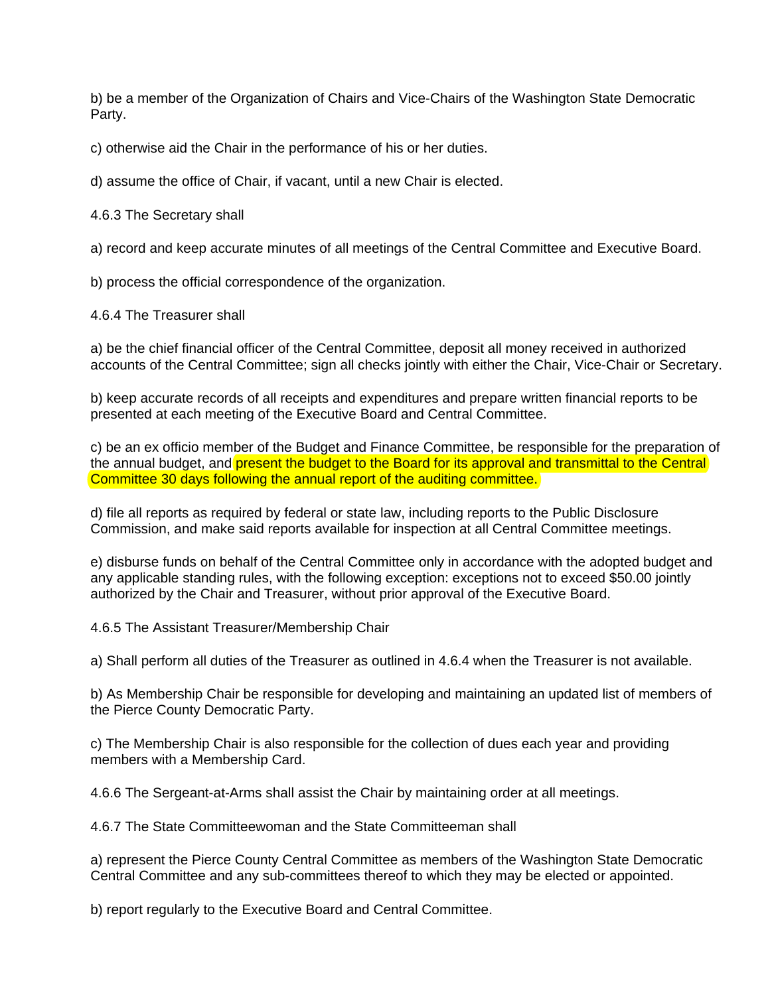b) be a member of the Organization of Chairs and Vice-Chairs of the Washington State Democratic Party.

c) otherwise aid the Chair in the performance of his or her duties.

d) assume the office of Chair, if vacant, until a new Chair is elected.

4.6.3 The Secretary shall

a) record and keep accurate minutes of all meetings of the Central Committee and Executive Board.

b) process the official correspondence of the organization.

4.6.4 The Treasurer shall

a) be the chief financial officer of the Central Committee, deposit all money received in authorized accounts of the Central Committee; sign all checks jointly with either the Chair, Vice-Chair or Secretary.

b) keep accurate records of all receipts and expenditures and prepare written financial reports to be presented at each meeting of the Executive Board and Central Committee.

c) be an ex officio member of the Budget and Finance Committee, be responsible for the preparation of the annual budget, and present the budget to the Board for its approval and transmittal to the Central Committee 30 days following the annual report of the auditing committee.

d) file all reports as required by federal or state law, including reports to the Public Disclosure Commission, and make said reports available for inspection at all Central Committee meetings.

e) disburse funds on behalf of the Central Committee only in accordance with the adopted budget and any applicable standing rules, with the following exception: exceptions not to exceed \$50.00 jointly authorized by the Chair and Treasurer, without prior approval of the Executive Board.

4.6.5 The Assistant Treasurer/Membership Chair

a) Shall perform all duties of the Treasurer as outlined in 4.6.4 when the Treasurer is not available.

b) As Membership Chair be responsible for developing and maintaining an updated list of members of the Pierce County Democratic Party.

c) The Membership Chair is also responsible for the collection of dues each year and providing members with a Membership Card.

4.6.6 The Sergeant-at-Arms shall assist the Chair by maintaining order at all meetings.

4.6.7 The State Committeewoman and the State Committeeman shall

a) represent the Pierce County Central Committee as members of the Washington State Democratic Central Committee and any sub-committees thereof to which they may be elected or appointed.

b) report regularly to the Executive Board and Central Committee.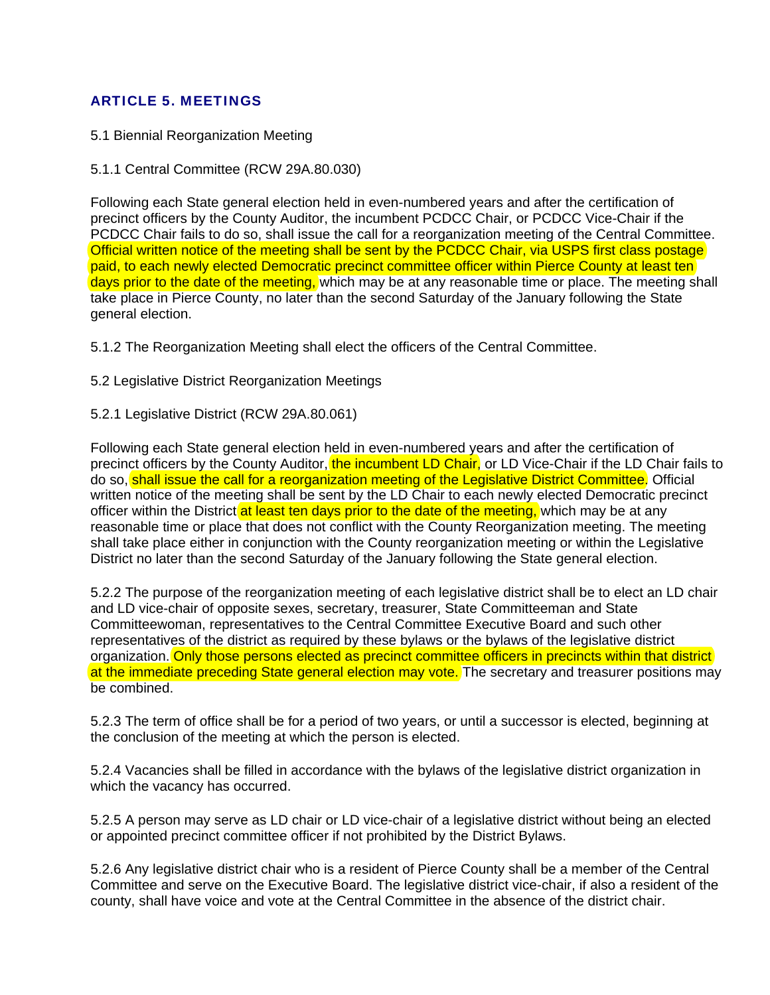# ARTICLE 5. MEETINGS

- 5.1 Biennial Reorganization Meeting
- 5.1.1 Central Committee (RCW 29A.80.030)

Following each State general election held in even-numbered years and after the certification of precinct officers by the County Auditor, the incumbent PCDCC Chair, or PCDCC Vice-Chair if the PCDCC Chair fails to do so, shall issue the call for a reorganization meeting of the Central Committee. Official written notice of the meeting shall be sent by the PCDCC Chair, via USPS first class postage paid, to each newly elected Democratic precinct committee officer within Pierce County at least ten days prior to the date of the meeting, which may be at any reasonable time or place. The meeting shall take place in Pierce County, no later than the second Saturday of the January following the State general election.

5.1.2 The Reorganization Meeting shall elect the officers of the Central Committee.

5.2 Legislative District Reorganization Meetings

### 5.2.1 Legislative District (RCW 29A.80.061)

Following each State general election held in even-numbered years and after the certification of precinct officers by the County Auditor, the incumbent LD Chair, or LD Vice-Chair if the LD Chair fails to do so, shall issue the call for a reorganization meeting of the Legislative District Committee. Official written notice of the meeting shall be sent by the LD Chair to each newly elected Democratic precinct officer within the District at least ten days prior to the date of the meeting, which may be at any reasonable time or place that does not conflict with the County Reorganization meeting. The meeting shall take place either in conjunction with the County reorganization meeting or within the Legislative District no later than the second Saturday of the January following the State general election.

5.2.2 The purpose of the reorganization meeting of each legislative district shall be to elect an LD chair and LD vice-chair of opposite sexes, secretary, treasurer, State Committeeman and State Committeewoman, representatives to the Central Committee Executive Board and such other representatives of the district as required by these bylaws or the bylaws of the legislative district organization. Only those persons elected as precinct committee officers in precincts within that district at the immediate preceding State general election may vote. The secretary and treasurer positions may be combined.

5.2.3 The term of office shall be for a period of two years, or until a successor is elected, beginning at the conclusion of the meeting at which the person is elected.

5.2.4 Vacancies shall be filled in accordance with the bylaws of the legislative district organization in which the vacancy has occurred.

5.2.5 A person may serve as LD chair or LD vice-chair of a legislative district without being an elected or appointed precinct committee officer if not prohibited by the District Bylaws.

5.2.6 Any legislative district chair who is a resident of Pierce County shall be a member of the Central Committee and serve on the Executive Board. The legislative district vice-chair, if also a resident of the county, shall have voice and vote at the Central Committee in the absence of the district chair.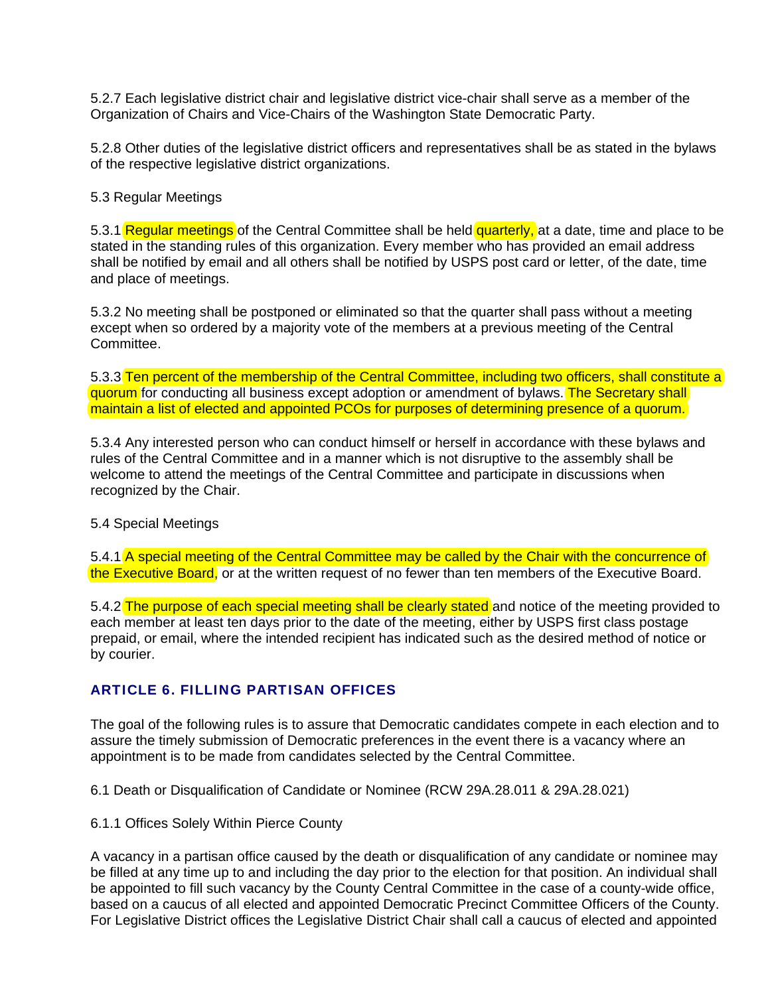5.2.7 Each legislative district chair and legislative district vice-chair shall serve as a member of the Organization of Chairs and Vice-Chairs of the Washington State Democratic Party.

5.2.8 Other duties of the legislative district officers and representatives shall be as stated in the bylaws of the respective legislative district organizations.

### 5.3 Regular Meetings

5.3.1 Regular meetings of the Central Committee shall be held quarterly, at a date, time and place to be stated in the standing rules of this organization. Every member who has provided an email address shall be notified by email and all others shall be notified by USPS post card or letter, of the date, time and place of meetings.

5.3.2 No meeting shall be postponed or eliminated so that the quarter shall pass without a meeting except when so ordered by a majority vote of the members at a previous meeting of the Central Committee.

5.3.3 Ten percent of the membership of the Central Committee, including two officers, shall constitute a quorum for conducting all business except adoption or amendment of bylaws. The Secretary shall maintain a list of elected and appointed PCOs for purposes of determining presence of a quorum.

5.3.4 Any interested person who can conduct himself or herself in accordance with these bylaws and rules of the Central Committee and in a manner which is not disruptive to the assembly shall be welcome to attend the meetings of the Central Committee and participate in discussions when recognized by the Chair.

### 5.4 Special Meetings

5.4.1 A special meeting of the Central Committee may be called by the Chair with the concurrence of the Executive Board, or at the written request of no fewer than ten members of the Executive Board.

5.4.2 The purpose of each special meeting shall be clearly stated and notice of the meeting provided to each member at least ten days prior to the date of the meeting, either by USPS first class postage prepaid, or email, where the intended recipient has indicated such as the desired method of notice or by courier.

### ARTICLE 6. FILLING PARTISAN OFFICES

The goal of the following rules is to assure that Democratic candidates compete in each election and to assure the timely submission of Democratic preferences in the event there is a vacancy where an appointment is to be made from candidates selected by the Central Committee.

6.1 Death or Disqualification of Candidate or Nominee (RCW 29A.28.011 & 29A.28.021)

6.1.1 Offices Solely Within Pierce County

A vacancy in a partisan office caused by the death or disqualification of any candidate or nominee may be filled at any time up to and including the day prior to the election for that position. An individual shall be appointed to fill such vacancy by the County Central Committee in the case of a county-wide office, based on a caucus of all elected and appointed Democratic Precinct Committee Officers of the County. For Legislative District offices the Legislative District Chair shall call a caucus of elected and appointed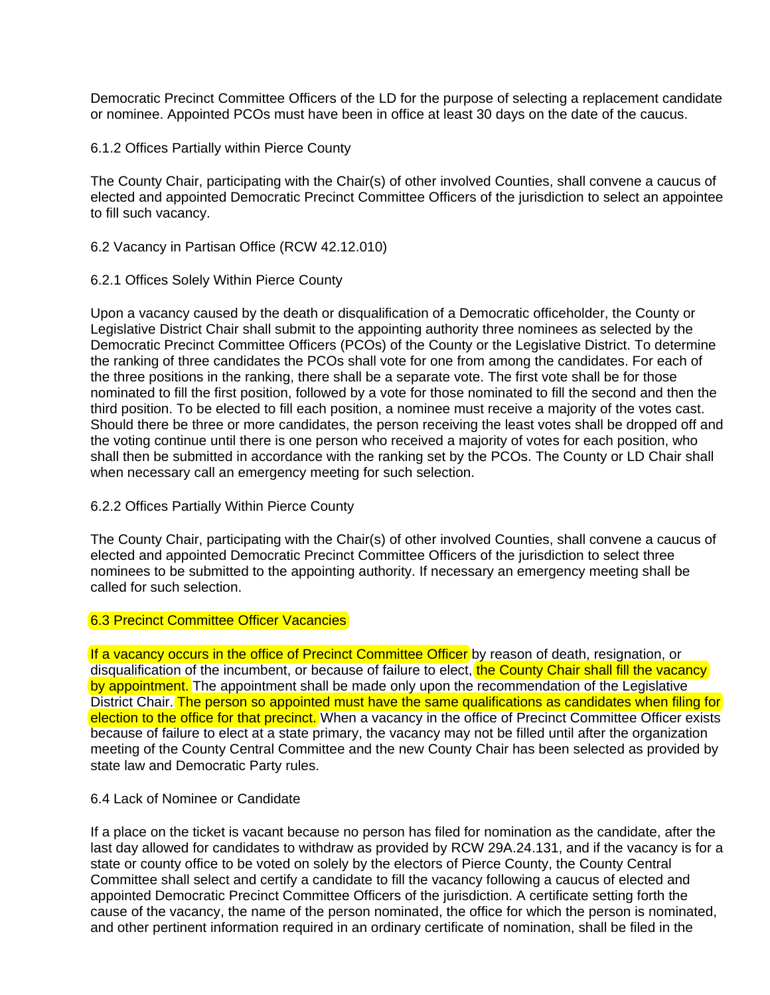Democratic Precinct Committee Officers of the LD for the purpose of selecting a replacement candidate or nominee. Appointed PCOs must have been in office at least 30 days on the date of the caucus.

6.1.2 Offices Partially within Pierce County

The County Chair, participating with the Chair(s) of other involved Counties, shall convene a caucus of elected and appointed Democratic Precinct Committee Officers of the jurisdiction to select an appointee to fill such vacancy.

- 6.2 Vacancy in Partisan Office (RCW 42.12.010)
- 6.2.1 Offices Solely Within Pierce County

Upon a vacancy caused by the death or disqualification of a Democratic officeholder, the County or Legislative District Chair shall submit to the appointing authority three nominees as selected by the Democratic Precinct Committee Officers (PCOs) of the County or the Legislative District. To determine the ranking of three candidates the PCOs shall vote for one from among the candidates. For each of the three positions in the ranking, there shall be a separate vote. The first vote shall be for those nominated to fill the first position, followed by a vote for those nominated to fill the second and then the third position. To be elected to fill each position, a nominee must receive a majority of the votes cast. Should there be three or more candidates, the person receiving the least votes shall be dropped off and the voting continue until there is one person who received a majority of votes for each position, who shall then be submitted in accordance with the ranking set by the PCOs. The County or LD Chair shall when necessary call an emergency meeting for such selection.

6.2.2 Offices Partially Within Pierce County

The County Chair, participating with the Chair(s) of other involved Counties, shall convene a caucus of elected and appointed Democratic Precinct Committee Officers of the jurisdiction to select three nominees to be submitted to the appointing authority. If necessary an emergency meeting shall be called for such selection.

### 6.3 Precinct Committee Officer Vacancies

If a vacancy occurs in the office of Precinct Committee Officer by reason of death, resignation, or disqualification of the incumbent, or because of failure to elect, the County Chair shall fill the vacancy by appointment. The appointment shall be made only upon the recommendation of the Legislative District Chair. The person so appointed must have the same qualifications as candidates when filing for election to the office for that precinct. When a vacancy in the office of Precinct Committee Officer exists because of failure to elect at a state primary, the vacancy may not be filled until after the organization meeting of the County Central Committee and the new County Chair has been selected as provided by state law and Democratic Party rules.

### 6.4 Lack of Nominee or Candidate

If a place on the ticket is vacant because no person has filed for nomination as the candidate, after the last day allowed for candidates to withdraw as provided by RCW 29A.24.131, and if the vacancy is for a state or county office to be voted on solely by the electors of Pierce County, the County Central Committee shall select and certify a candidate to fill the vacancy following a caucus of elected and appointed Democratic Precinct Committee Officers of the jurisdiction. A certificate setting forth the cause of the vacancy, the name of the person nominated, the office for which the person is nominated, and other pertinent information required in an ordinary certificate of nomination, shall be filed in the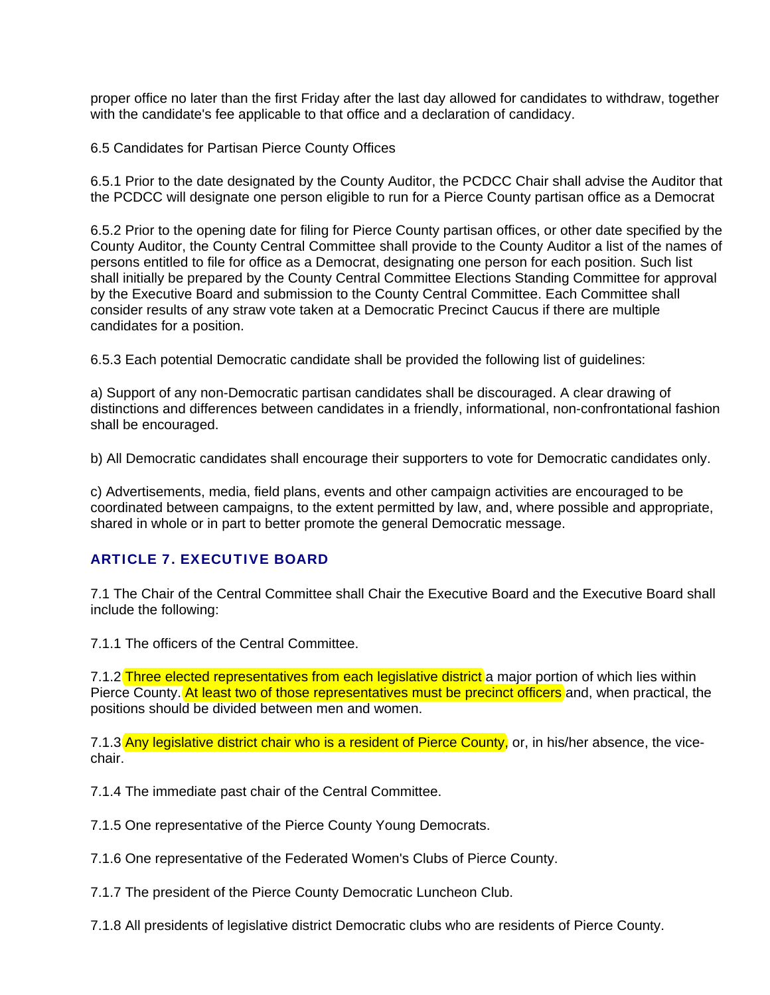proper office no later than the first Friday after the last day allowed for candidates to withdraw, together with the candidate's fee applicable to that office and a declaration of candidacy.

6.5 Candidates for Partisan Pierce County Offices

6.5.1 Prior to the date designated by the County Auditor, the PCDCC Chair shall advise the Auditor that the PCDCC will designate one person eligible to run for a Pierce County partisan office as a Democrat

6.5.2 Prior to the opening date for filing for Pierce County partisan offices, or other date specified by the County Auditor, the County Central Committee shall provide to the County Auditor a list of the names of persons entitled to file for office as a Democrat, designating one person for each position. Such list shall initially be prepared by the County Central Committee Elections Standing Committee for approval by the Executive Board and submission to the County Central Committee. Each Committee shall consider results of any straw vote taken at a Democratic Precinct Caucus if there are multiple candidates for a position.

6.5.3 Each potential Democratic candidate shall be provided the following list of guidelines:

a) Support of any non-Democratic partisan candidates shall be discouraged. A clear drawing of distinctions and differences between candidates in a friendly, informational, non-confrontational fashion shall be encouraged.

b) All Democratic candidates shall encourage their supporters to vote for Democratic candidates only.

c) Advertisements, media, field plans, events and other campaign activities are encouraged to be coordinated between campaigns, to the extent permitted by law, and, where possible and appropriate, shared in whole or in part to better promote the general Democratic message.

# ARTICLE 7. EXECUTIVE BOARD

7.1 The Chair of the Central Committee shall Chair the Executive Board and the Executive Board shall include the following:

7.1.1 The officers of the Central Committee.

7.1.2 Three elected representatives from each legislative district a major portion of which lies within Pierce County. At least two of those representatives must be precinct officers and, when practical, the positions should be divided between men and women.

7.1.3 Any legislative district chair who is a resident of Pierce County, or, in his/her absence, the vicechair.

7.1.4 The immediate past chair of the Central Committee.

7.1.5 One representative of the Pierce County Young Democrats.

7.1.6 One representative of the Federated Women's Clubs of Pierce County.

7.1.7 The president of the Pierce County Democratic Luncheon Club.

7.1.8 All presidents of legislative district Democratic clubs who are residents of Pierce County.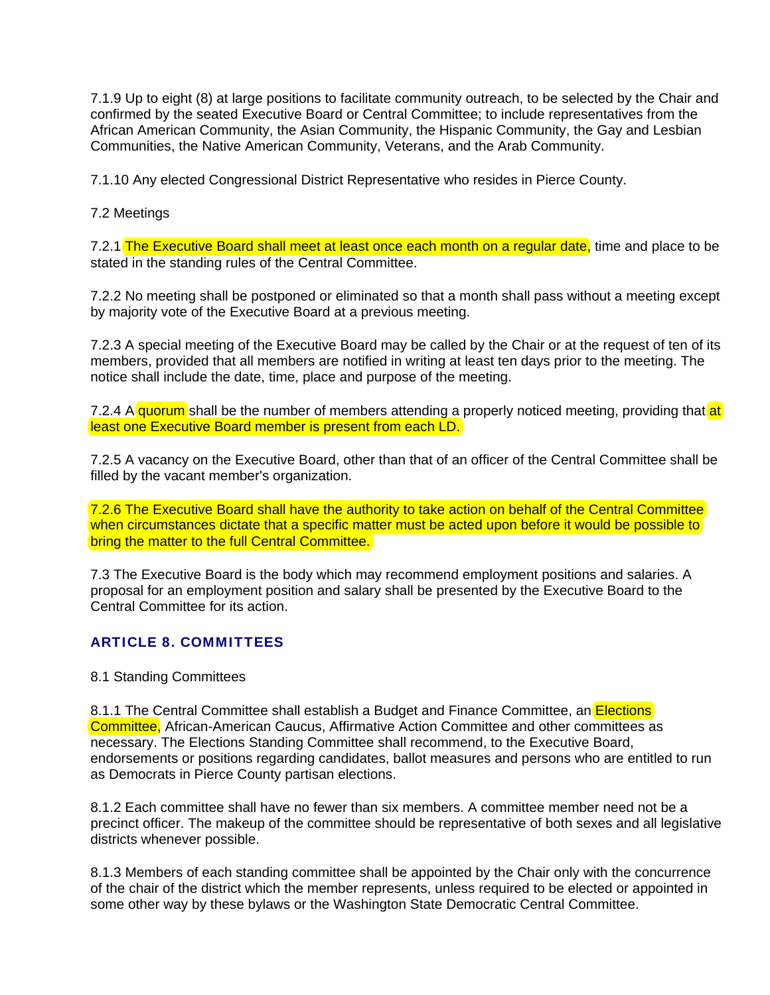7.1.9 Up to eight (8) at large positions to facilitate community outreach, to be selected by the Chair and confirmed by the seated Executive Board or Central Committee; to include representatives from the African American Community, the Asian Community, the Hispanic Community, the Gay and Lesbian Communities, the Native American Community, Veterans, and the Arab Community.

7.1.10 Any elected Congressional District Representative who resides in Pierce County.

7.2 Meetings

7.2.1 The Executive Board shall meet at least once each month on a regular date, time and place to be stated in the standing rules of the Central Committee.

7.2.2 No meeting shall be postponed or eliminated so that a month shall pass without a meeting except by majority vote of the Executive Board at a previous meeting.

7.2.3 A special meeting of the Executive Board may be called by the Chair or at the request of ten of its members, provided that all members are notified in writing at least ten days prior to the meeting. The notice shall include the date, time, place and purpose of the meeting.

7.2.4 A quorum shall be the number of members attending a properly noticed meeting, providing that at least one Executive Board member is present from each LD.

7.2.5 A vacancy on the Executive Board, other than that of an officer of the Central Committee shall be filled by the vacant member's organization.

7.2.6 The Executive Board shall have the authority to take action on behalf of the Central Committee when circumstances dictate that a specific matter must be acted upon before it would be possible to bring the matter to the full Central Committee.

7.3 The Executive Board is the body which may recommend employment positions and salaries. A proposal for an employment position and salary shall be presented by the Executive Board to the Central Committee for its action.

### ARTICLE 8. COMMITTEES

### 8.1 Standing Committees

8.1.1 The Central Committee shall establish a Budget and Finance Committee, an Elections Committee, African-American Caucus, Affirmative Action Committee and other committees as necessary. The Elections Standing Committee shall recommend, to the Executive Board, endorsements or positions regarding candidates, ballot measures and persons who are entitled to run as Democrats in Pierce County partisan elections.

8.1.2 Each committee shall have no fewer than six members. A committee member need not be a precinct officer. The makeup of the committee should be representative of both sexes and all legislative districts whenever possible.

8.1.3 Members of each standing committee shall be appointed by the Chair only with the concurrence of the chair of the district which the member represents, unless required to be elected or appointed in some other way by these bylaws or the Washington State Democratic Central Committee.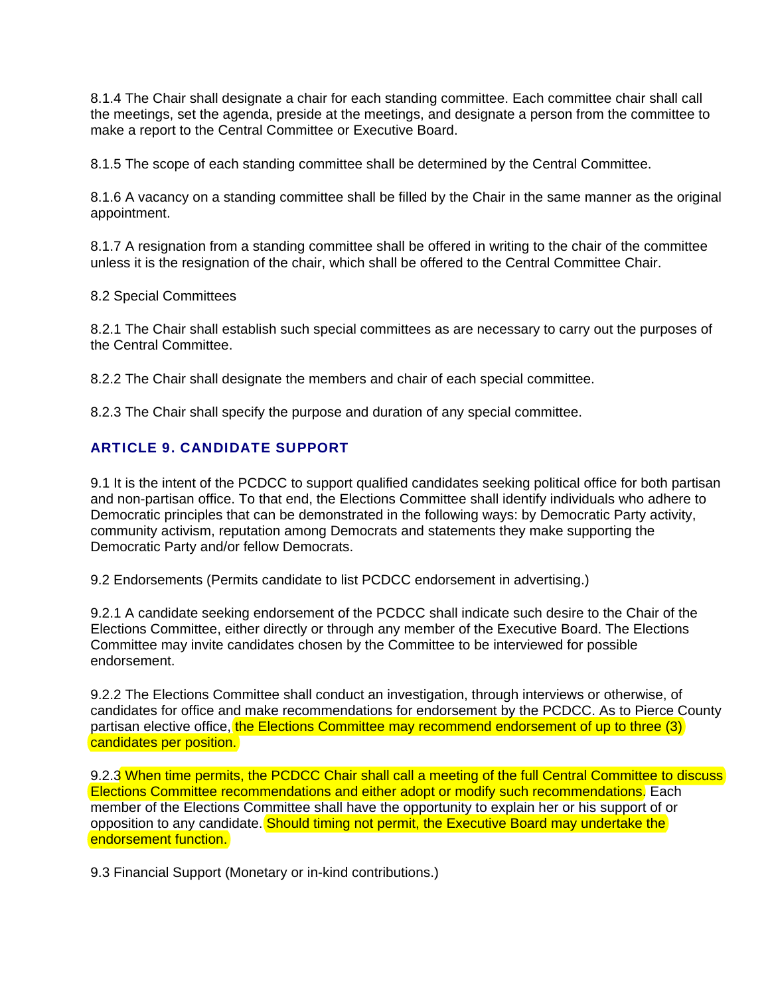8.1.4 The Chair shall designate a chair for each standing committee. Each committee chair shall call the meetings, set the agenda, preside at the meetings, and designate a person from the committee to make a report to the Central Committee or Executive Board.

8.1.5 The scope of each standing committee shall be determined by the Central Committee.

8.1.6 A vacancy on a standing committee shall be filled by the Chair in the same manner as the original appointment.

8.1.7 A resignation from a standing committee shall be offered in writing to the chair of the committee unless it is the resignation of the chair, which shall be offered to the Central Committee Chair.

8.2 Special Committees

8.2.1 The Chair shall establish such special committees as are necessary to carry out the purposes of the Central Committee.

8.2.2 The Chair shall designate the members and chair of each special committee.

8.2.3 The Chair shall specify the purpose and duration of any special committee.

# ARTICLE 9. CANDIDATE SUPPORT

9.1 It is the intent of the PCDCC to support qualified candidates seeking political office for both partisan and non-partisan office. To that end, the Elections Committee shall identify individuals who adhere to Democratic principles that can be demonstrated in the following ways: by Democratic Party activity, community activism, reputation among Democrats and statements they make supporting the Democratic Party and/or fellow Democrats.

9.2 Endorsements (Permits candidate to list PCDCC endorsement in advertising.)

9.2.1 A candidate seeking endorsement of the PCDCC shall indicate such desire to the Chair of the Elections Committee, either directly or through any member of the Executive Board. The Elections Committee may invite candidates chosen by the Committee to be interviewed for possible endorsement.

9.2.2 The Elections Committee shall conduct an investigation, through interviews or otherwise, of candidates for office and make recommendations for endorsement by the PCDCC. As to Pierce County partisan elective office, the Elections Committee may recommend endorsement of up to three (3) candidates per position.

9.2.3 When time permits, the PCDCC Chair shall call a meeting of the full Central Committee to discuss Elections Committee recommendations and either adopt or modify such recommendations. Each member of the Elections Committee shall have the opportunity to explain her or his support of or opposition to any candidate. Should timing not permit, the Executive Board may undertake the endorsement function.

9.3 Financial Support (Monetary or in-kind contributions.)